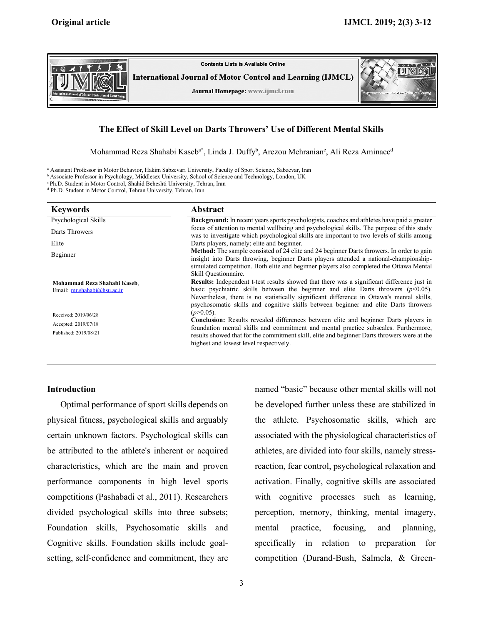

# **The Effect of Skill Level on Darts Throwers' Use of Different Mental Skills**

Mohammad Reza Shahabi Kaseb<sup>a\*</sup>, Linda J. Duffy<sup>b</sup>, Arezou Mehranian<sup>c</sup>, Ali Reza Aminaee<sup>d</sup>

<sup>a</sup> Assistant Professor in Motor Behavior, Hakim Sabzevari University, Faculty of Sport Science, Sabzevar, Iran

<sup>b</sup> Associate Professor in Psychology, Middlesex University, School of Science and Technology, London, UK

c Ph.D. Student in Motor Control, Shahid Beheshti University, Tehran, Iran

<sup>d</sup> Ph.D. Student in Motor Control, Tehran University, Tehran, Iran

| <b>Keywords</b>                                             | <b>Abstract</b>                                                                                                                                                                                                                                                                        |  |  |  |
|-------------------------------------------------------------|----------------------------------------------------------------------------------------------------------------------------------------------------------------------------------------------------------------------------------------------------------------------------------------|--|--|--|
| Psychological Skills                                        | <b>Background:</b> In recent years sports psychologists, coaches and athletes have paid a greater                                                                                                                                                                                      |  |  |  |
| Darts Throwers                                              | focus of attention to mental wellbeing and psychological skills. The purpose of this study<br>was to investigate which psychological skills are important to two levels of skills among                                                                                                |  |  |  |
| Elite                                                       | Darts players, namely; elite and beginner.                                                                                                                                                                                                                                             |  |  |  |
| Beginner                                                    | Method: The sample consisted of 24 elite and 24 beginner Darts throwers. In order to gain<br>insight into Darts throwing, beginner Darts players attended a national-championship-                                                                                                     |  |  |  |
|                                                             | simulated competition. Both elite and beginner players also completed the Ottawa Mental<br>Skill Questionnaire.                                                                                                                                                                        |  |  |  |
| Mohammad Reza Shahabi Kaseb.<br>Email: mr.shahabi@hsu.ac.ir | <b>Results:</b> Independent t-test results showed that there was a significant difference just in<br>basic psychiatric skills between the beginner and elite Darts throwers ( $p<0.05$ ).<br>Nevertheless, there is no statistically significant difference in Ottawa's mental skills, |  |  |  |
|                                                             | psychosomatic skills and cognitive skills between beginner and elite Darts throwers<br>$(p>0.05)$ .                                                                                                                                                                                    |  |  |  |
| Received: 2019/06/28                                        | <b>Conclusion:</b> Results revealed differences between elite and beginner Darts players in                                                                                                                                                                                            |  |  |  |
| Accepted: 2019/07/18                                        | foundation mental skills and commitment and mental practice subscales. Furthermore,                                                                                                                                                                                                    |  |  |  |
| Published: 2019/08/21                                       | results showed that for the commitment skill, elite and beginner Darts throwers were at the<br>highest and lowest level respectively.                                                                                                                                                  |  |  |  |

# **Introduction**

Optimal performance of sport skills depends on physical fitness, psychological skills and arguably certain unknown factors. Psychological skills can be attributed to the athlete's inherent or acquired characteristics, which are the main and proven performance components in high level sports competitions (Pashabadi et al., 2011). Researchers divided psychological skills into three subsets; Foundation skills, Psychosomatic skills and Cognitive skills. Foundation skills include goalsetting, self-confidence and commitment, they are named "basic" because other mental skills will not be developed further unless these are stabilized in the athlete. Psychosomatic skills, which are associated with the physiological characteristics of athletes, are divided into four skills, namely stressreaction, fear control, psychological relaxation and activation. Finally, cognitive skills are associated with cognitive processes such as learning, perception, memory, thinking, mental imagery, mental practice, focusing, and planning, specifically in relation to preparation for competition (Durand-Bush, Salmela, & Green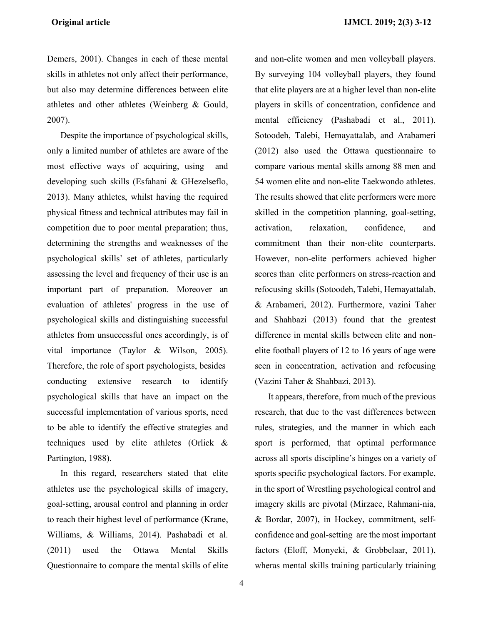Demers, 2001). Changes in each of these mental skills in athletes not only affect their performance, but also may determine differences between elite athletes and other athletes (Weinberg & Gould, 2007).

Despite the importance of psychological skills, only a limited number of athletes are aware of the most effective ways of acquiring, using and developing such skills (Esfahani & GHezelseflo, 2013). Many athletes, whilst having the required physical fitness and technical attributes may fail in competition due to poor mental preparation; thus, determining the strengths and weaknesses of the psychological skills' set of athletes, particularly assessing the level and frequency of their use is an important part of preparation. Moreover an evaluation of athletes' progress in the use of psychological skills and distinguishing successful athletes from unsuccessful ones accordingly, is of vital importance (Taylor & Wilson, 2005). Therefore, the role of sport psychologists, besides conducting extensive research to identify psychological skills that have an impact on the successful implementation of various sports, need to be able to identify the effective strategies and techniques used by elite athletes (Orlick & Partington, 1988).

In this regard, researchers stated that elite athletes use the psychological skills of imagery, goal-setting, arousal control and planning in order to reach their highest level of performance (Krane, Williams, & Williams, 2014). Pashabadi et al. (2011) used the Ottawa Mental Skills Questionnaire to compare the mental skills of elite and non-elite women and men volleyball players. By surveying 104 volleyball players, they found that elite players are at a higher level than non-elite players in skills of concentration, confidence and mental efficiency (Pashabadi et al., 2011). Sotoodeh, Talebi, Hemayattalab, and Arabameri (2012) also used the Ottawa questionnaire to compare various mental skills among 88 men and 54 women elite and non-elite Taekwondo athletes. The results showed that elite performers were more skilled in the competition planning, goal-setting, activation, relaxation, confidence, and commitment than their non-elite counterparts. However, non-elite performers achieved higher scores than elite performers on stress-reaction and refocusing skills (Sotoodeh, Talebi, Hemayattalab, & Arabameri, 2012). Furthermore, vazini Taher and Shahbazi (2013) found that the greatest difference in mental skills between elite and nonelite football players of 12 to 16 years of age were seen in concentration, activation and refocusing (Vazini Taher & Shahbazi, 2013).

It appears, therefore, from much of the previous research, that due to the vast differences between rules, strategies, and the manner in which each sport is performed, that optimal performance across all sports discipline's hinges on a variety of sports specific psychological factors. For example, in the sport of Wrestling psychological control and imagery skills are pivotal (Mirzaee, Rahmani-nia, & Bordar, 2007), in Hockey, commitment, selfconfidence and goal-setting are the most important factors (Eloff, Monyeki, & Grobbelaar, 2011), wheras mental skills training particularly triaining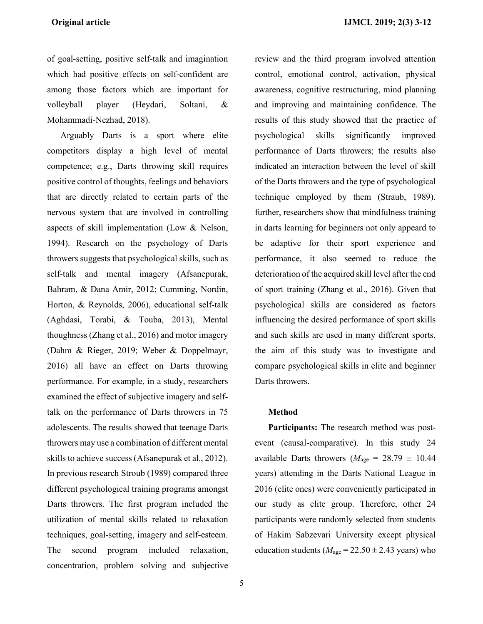of goal-setting, positive self-talk and imagination which had positive effects on self-confident are among those factors which are important for volleyball player (Heydari, Soltani, & Mohammadi-Nezhad, 2018).

Arguably Darts is a sport where elite competitors display a high level of mental competence; e.g., Darts throwing skill requires positive control of thoughts, feelings and behaviors that are directly related to certain parts of the nervous system that are involved in controlling aspects of skill implementation (Low & Nelson, 1994). Research on the psychology of Darts throwers suggests that psychological skills, such as self-talk and mental imagery (Afsanepurak, Bahram, & Dana Amir, 2012; Cumming, Nordin, Horton, & Reynolds, 2006), educational self-talk (Aghdasi, Torabi, & Touba, 2013), Mental thoughness (Zhang et al., 2016) and motor imagery (Dahm & Rieger, 2019; Weber & Doppelmayr, 2016) all have an effect on Darts throwing performance. For example, in a study, researchers examined the effect of subjective imagery and selftalk on the performance of Darts throwers in 75 adolescents. The results showed that teenage Darts throwers may use a combination of different mental skills to achieve success (Afsanepurak et al., 2012). In previous research Stroub (1989) compared three different psychological training programs amongst Darts throwers. The first program included the utilization of mental skills related to relaxation techniques, goal-setting, imagery and self-esteem. The second program included relaxation, concentration, problem solving and subjective control, emotional control, activation, physical awareness, cognitive restructuring, mind planning and improving and maintaining confidence. The results of this study showed that the practice of psychological skills significantly improved performance of Darts throwers; the results also indicated an interaction between the level of skill of the Darts throwers and the type of psychological technique employed by them (Straub, 1989). further, researchers show that mindfulness training in darts learning for beginners not only appeard to be adaptive for their sport experience and performance, it also seemed to reduce the deterioration of the acquired skill level after the end of sport training (Zhang et al., 2016). Given that psychological skills are considered as factors influencing the desired performance of sport skills and such skills are used in many different sports, the aim of this study was to investigate and compare psychological skills in elite and beginner Darts throwers.

review and the third program involved attention

## **Method**

**Participants:** The research method was postevent (causal-comparative). In this study 24 available Darts throwers ( $M_{\text{age}} = 28.79 \pm 10.44$ ) years) attending in the Darts National League in 2016 (elite ones) were conveniently participated in our study as elite group. Therefore, other 24 participants were randomly selected from students of Hakim Sabzevari University except physical education students ( $M_{\text{age}} = 22.50 \pm 2.43$  years) who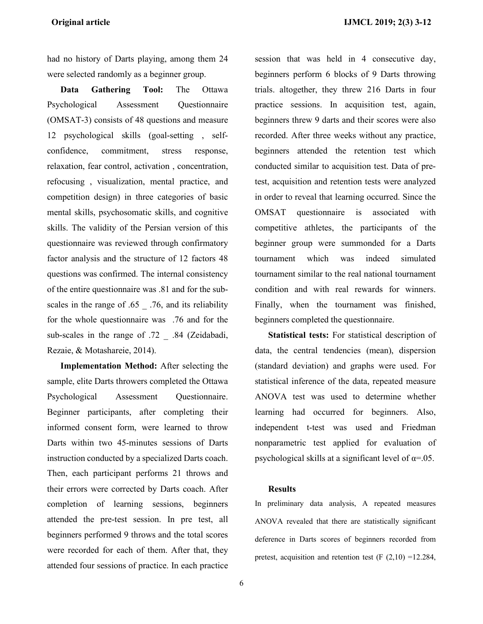had no history of Darts playing, among them 24 were selected randomly as a beginner group.

**Data Gathering Tool:** The Ottawa Psychological Assessment Questionnaire (OMSAT-3) consists of 48 questions and measure 12 psychological skills (goal-setting , selfconfidence, commitment, stress response, relaxation, fear control, activation , concentration, refocusing , visualization, mental practice, and competition design) in three categories of basic mental skills, psychosomatic skills, and cognitive skills. The validity of the Persian version of this questionnaire was reviewed through confirmatory factor analysis and the structure of 12 factors 48 questions was confirmed. The internal consistency of the entire questionnaire was .81 and for the subscales in the range of .65 .76, and its reliability for the whole questionnaire was .76 and for the sub-scales in the range of .72 \_ .84 (Zeidabadi, Rezaie, & Motashareie, 2014).

**Implementation Method:** After selecting the sample, elite Darts throwers completed the Ottawa Psychological Assessment Questionnaire. Beginner participants, after completing their informed consent form, were learned to throw Darts within two 45-minutes sessions of Darts instruction conducted by a specialized Darts coach. Then, each participant performs 21 throws and their errors were corrected by Darts coach. After completion of learning sessions, beginners attended the pre-test session. In pre test, all beginners performed 9 throws and the total scores were recorded for each of them. After that, they attended four sessions of practice. In each practice session that was held in 4 consecutive day, beginners perform 6 blocks of 9 Darts throwing trials. altogether, they threw 216 Darts in four practice sessions. In acquisition test, again, beginners threw 9 darts and their scores were also recorded. After three weeks without any practice, beginners attended the retention test which conducted similar to acquisition test. Data of pretest, acquisition and retention tests were analyzed in order to reveal that learning occurred. Since the OMSAT questionnaire is associated with competitive athletes, the participants of the beginner group were summonded for a Darts tournament which was indeed simulated tournament similar to the real national tournament condition and with real rewards for winners. Finally, when the tournament was finished, beginners completed the questionnaire.

**Statistical tests:** For statistical description of data, the central tendencies (mean), dispersion (standard deviation) and graphs were used. For statistical inference of the data, repeated measure ANOVA test was used to determine whether learning had occurred for beginners. Also, independent t-test was used and Friedman nonparametric test applied for evaluation of psychological skills at a significant level of  $\alpha$ =.05.

## **Results**

In preliminary data analysis, A repeated measures ANOVA revealed that there are statistically significant deference in Darts scores of beginners recorded from pretest, acquisition and retention test  $(F (2,10) = 12.284,$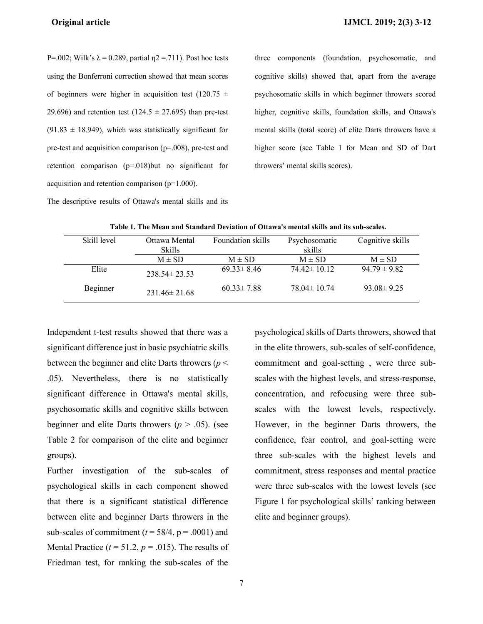P=.002; Wilk's  $\lambda$  = 0.289, partial  $\eta$ 2 = .711). Post hoc tests using the Bonferroni correction showed that mean scores of beginners were higher in acquisition test (120.75  $\pm$ 29.696) and retention test (124.5  $\pm$  27.695) than pre-test  $(91.83 \pm 18.949)$ , which was statistically significant for pre-test and acquisition comparison (p=.008), pre-test and retention comparison (p=.018)but no significant for acquisition and retention comparison (p=1.000).

The descriptive results of Ottawa's mental skills and its

three components (foundation, psychosomatic, and cognitive skills) showed that, apart from the average psychosomatic skills in which beginner throwers scored higher, cognitive skills, foundation skills, and Ottawa's mental skills (total score) of elite Darts throwers have a higher score (see Table 1 for Mean and SD of Dart throwers' mental skills scores).

| Lable 1. The Mean and Standard Deviation of Ottawa's mental skills and its sub-scales. |                    |                   |                   |                  |  |  |  |  |
|----------------------------------------------------------------------------------------|--------------------|-------------------|-------------------|------------------|--|--|--|--|
| Skill level                                                                            | Ottawa Mental      | Foundation skills | Psychosomatic     | Cognitive skills |  |  |  |  |
|                                                                                        | <b>Skills</b>      |                   | skills            |                  |  |  |  |  |
|                                                                                        | $M \pm SD$         | $M \pm SD$        | $M \pm SD$        | $M \pm SD$       |  |  |  |  |
| Elite                                                                                  | $238.54 \pm 23.53$ | $69.33 \pm 8.46$  | $74.42 \pm 10.12$ | $94.79 \pm 9.82$ |  |  |  |  |
| Beginner                                                                               | $231.46 \pm 21.68$ | $60.33 \pm 7.88$  | $78.04 \pm 10.74$ | $93.08 \pm 9.25$ |  |  |  |  |

**Table 1. The Mean and Standard Deviation of Ottawa's mental skills and its sub-scales.**

Independent t-test results showed that there was a significant difference just in basic psychiatric skills between the beginner and elite Darts throwers (*p* < .05). Nevertheless, there is no statistically significant difference in Ottawa's mental skills, psychosomatic skills and cognitive skills between beginner and elite Darts throwers ( $p > .05$ ). (see Table 2 for comparison of the elite and beginner groups).

Further investigation of the sub-scales of psychological skills in each component showed that there is a significant statistical difference between elite and beginner Darts throwers in the sub-scales of commitment ( $t = 58/4$ ,  $p = .0001$ ) and Mental Practice  $(t = 51.2, p = .015)$ . The results of Friedman test, for ranking the sub-scales of the

psychological skills of Darts throwers, showed that in the elite throwers, sub-scales of self-confidence, commitment and goal-setting , were three subscales with the highest levels, and stress-response, concentration, and refocusing were three subscales with the lowest levels, respectively. However, in the beginner Darts throwers, the confidence, fear control, and goal-setting were three sub-scales with the highest levels and commitment, stress responses and mental practice were three sub-scales with the lowest levels (see Figure 1 for psychological skills' ranking between elite and beginner groups).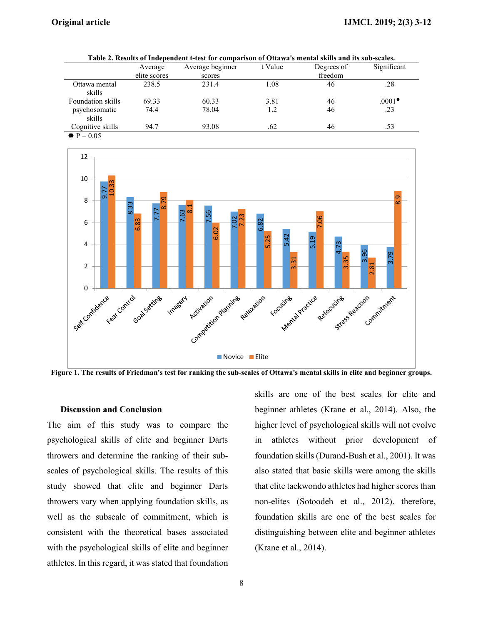| Table 2. Results of Independent t-test for comparison of Ottawa's mental skills and its sub-scales. |              |                  |         |            |             |  |  |
|-----------------------------------------------------------------------------------------------------|--------------|------------------|---------|------------|-------------|--|--|
|                                                                                                     | Average      | Average beginner | t Value | Degrees of | Significant |  |  |
|                                                                                                     | elite scores | scores           |         | freedom    |             |  |  |
| Ottawa mental                                                                                       | 238.5        | 231.4            | 1.08    | 46         | .28         |  |  |
| skills                                                                                              |              |                  |         |            |             |  |  |
| Foundation skills                                                                                   | 69.33        | 60.33            | 3.81    | 46         | $.0001*$    |  |  |
| psychosomatic                                                                                       | 74.4         | 78.04            | 1.2     | 46         | .23         |  |  |
| skills                                                                                              |              |                  |         |            |             |  |  |
| Cognitive skills                                                                                    | 94.7         | 93.08            | .62     | 46         | .53         |  |  |
| $\triangleq P = 0.05$                                                                               |              |                  |         |            |             |  |  |



**Figure 1. The results of Friedman's test for ranking the sub-scales of Ottawa's mental skills in elite and beginner groups.**

Novice **Elite** 

## **Discussion and Conclusion**

The aim of this study was to compare the psychological skills of elite and beginner Darts throwers and determine the ranking of their subscales of psychological skills. The results of this study showed that elite and beginner Darts throwers vary when applying foundation skills, as well as the subscale of commitment, which is consistent with the theoretical bases associated with the psychological skills of elite and beginner athletes. In this regard, it was stated that foundation skills are one of the best scales for elite and beginner athletes (Krane et al., 2014). Also, the higher level of psychological skills will not evolve in athletes without prior development of foundation skills (Durand-Bush et al., 2001). It was also stated that basic skills were among the skills that elite taekwondo athletes had higher scores than non-elites (Sotoodeh et al., 2012). therefore, foundation skills are one of the best scales for distinguishing between elite and beginner athletes (Krane et al., 2014).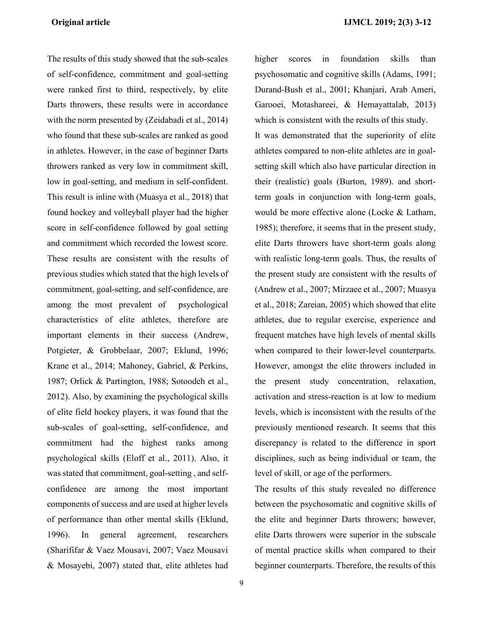The results of this study showed that the sub-scales of self-confidence, commitment and goal-setting were ranked first to third, respectively, by elite Darts throwers, these results were in accordance with the norm presented by (Zeidabadi et al., 2014) who found that these sub-scales are ranked as good in athletes. However, in the case of beginner Darts throwers ranked as very low in commitment skill, low in goal-setting, and medium in self-confident. This result is inline with (Muasya et al., 2018) that found hockey and volleyball player had the higher score in self-confidence followed by goal setting and commitment which recorded the lowest score. These results are consistent with the results of previous studies which stated that the high levels of commitment, goal-setting, and self-confidence, are among the most prevalent of psychological characteristics of elite athletes, therefore are important elements in their success (Andrew, Potgieter, & Grobbelaar, 2007; Eklund, 1996; Krane et al., 2014; Mahoney, Gabriel, & Perkins, 1987; Orlick & Partington, 1988; Sotoodeh et al., 2012). Also, by examining the psychological skills of elite field hockey players, it was found that the sub-scales of goal-setting, self-confidence, and commitment had the highest ranks among psychological skills (Eloff et al., 2011). Also, it was stated that commitment, goal-setting , and selfconfidence are among the most important components of success and are used at higher levels of performance than other mental skills (Eklund, 1996). In general agreement, researchers (Sharififar & Vaez Mousavi, 2007; Vaez Mousavi & Mosayebi, 2007) stated that, elite athletes had

psychosomatic and cognitive skills (Adams, 1991; Durand-Bush et al., 2001; Khanjari, Arab Ameri, Garooei, Motashareei, & Hemayattalab, 2013) which is consistent with the results of this study. It was demonstrated that the superiority of elite athletes compared to non-elite athletes are in goalsetting skill which also have particular direction in their (realistic) goals (Burton, 1989). and shortterm goals in conjunction with long-term goals, would be more effective alone (Locke & Latham, 1985); therefore, it seems that in the present study, elite Darts throwers have short-term goals along with realistic long-term goals. Thus, the results of the present study are consistent with the results of (Andrew et al., 2007; Mirzaee et al., 2007; Muasya et al., 2018; Zareian, 2005) which showed that elite athletes, due to regular exercise, experience and frequent matches have high levels of mental skills when compared to their lower-level counterparts. However, amongst the elite throwers included in the present study concentration, relaxation, activation and stress-reaction is at low to medium levels, which is inconsistent with the results of the previously mentioned research. It seems that this discrepancy is related to the difference in sport disciplines, such as being individual or team, the level of skill, or age of the performers.

higher scores in foundation skills than

The results of this study revealed no difference between the psychosomatic and cognitive skills of the elite and beginner Darts throwers; however, elite Darts throwers were superior in the subscale of mental practice skills when compared to their beginner counterparts. Therefore, the results of this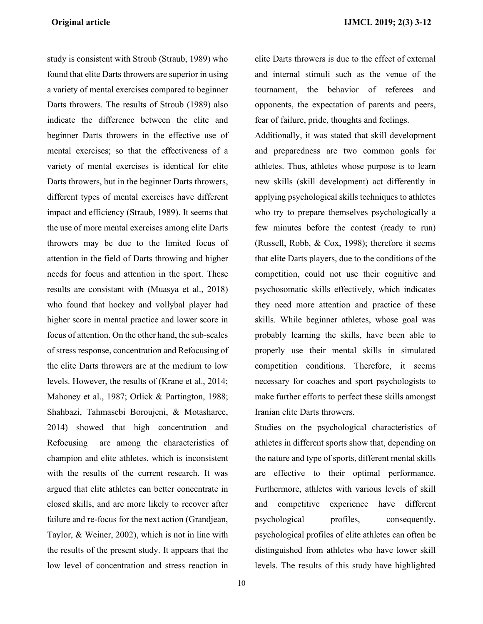study is consistent with Stroub (Straub, 1989) who found that elite Darts throwers are superior in using a variety of mental exercises compared to beginner Darts throwers. The results of Stroub (1989) also indicate the difference between the elite and beginner Darts throwers in the effective use of mental exercises; so that the effectiveness of a variety of mental exercises is identical for elite Darts throwers, but in the beginner Darts throwers, different types of mental exercises have different impact and efficiency (Straub, 1989). It seems that the use of more mental exercises among elite Darts throwers may be due to the limited focus of attention in the field of Darts throwing and higher needs for focus and attention in the sport. These results are consistant with (Muasya et al., 2018) who found that hockey and vollybal player had higher score in mental practice and lower score in focus of attention. On the other hand, the sub-scales of stress response, concentration and Refocusing of the elite Darts throwers are at the medium to low levels. However, the results of (Krane et al., 2014; Mahoney et al., 1987; Orlick & Partington, 1988; Shahbazi, Tahmasebi Boroujeni, & Motasharee, 2014) showed that high concentration and Refocusing are among the characteristics of champion and elite athletes, which is inconsistent with the results of the current research. It was argued that elite athletes can better concentrate in closed skills, and are more likely to recover after failure and re-focus for the next action (Grandjean, Taylor, & Weiner, 2002), which is not in line with the results of the present study. It appears that the low level of concentration and stress reaction in

elite Darts throwers is due to the effect of external and internal stimuli such as the venue of the tournament, the behavior of referees and opponents, the expectation of parents and peers, fear of failure, pride, thoughts and feelings.

Additionally, it was stated that skill development and preparedness are two common goals for athletes. Thus, athletes whose purpose is to learn new skills (skill development) act differently in applying psychological skills techniques to athletes who try to prepare themselves psychologically a few minutes before the contest (ready to run) (Russell, Robb, & Cox, 1998); therefore it seems that elite Darts players, due to the conditions of the competition, could not use their cognitive and psychosomatic skills effectively, which indicates they need more attention and practice of these skills. While beginner athletes, whose goal was probably learning the skills, have been able to properly use their mental skills in simulated competition conditions. Therefore, it seems necessary for coaches and sport psychologists to make further efforts to perfect these skills amongst Iranian elite Darts throwers.

Studies on the psychological characteristics of athletes in different sports show that, depending on the nature and type of sports, different mental skills are effective to their optimal performance. Furthermore, athletes with various levels of skill and competitive experience have different psychological profiles, consequently, psychological profiles of elite athletes can often be distinguished from athletes who have lower skill levels. The results of this study have highlighted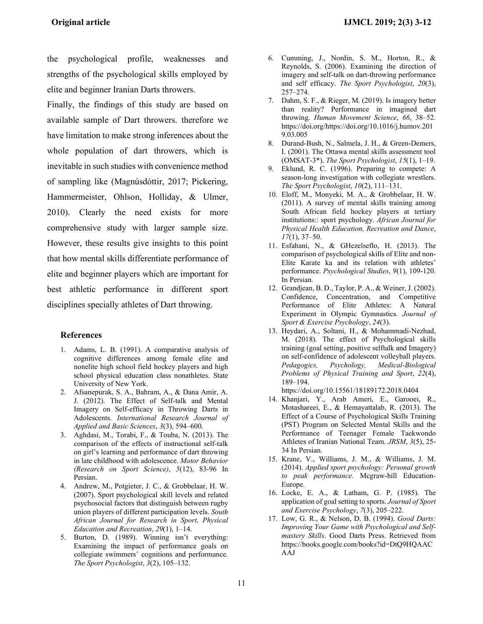the psychological profile, weaknesses and strengths of the psychological skills employed by elite and beginner Iranian Darts throwers.

Finally, the findings of this study are based on available sample of Dart throwers. therefore we have limitation to make strong inferences about the whole population of dart throwers, which is inevitable in such studies with convenience method of sampling like (Magnúsdóttir, 2017; Pickering, Hammermeister, Ohlson, Holliday, & Ulmer, 2010). Clearly the need exists for more comprehensive study with larger sample size. However, these results give insights to this point that how mental skills differentiate performance of elite and beginner players which are important for best athletic performance in different sport disciplines specially athletes of Dart throwing.

## **References**

- 1. Adams, L. B. (1991). A comparative analysis of cognitive differences among female elite and nonelite high school field hockey players and high school physical education class nonathletes. State University of New York.
- 2. Afsanepurak, S. A., Bahram, A., & Dana Amir, A. J. (2012). The Effect of Self-talk and Mental Imagery on Self-efficacy in Throwing Darts in Adolescents. *International Research Journal of Applied and Basic Sciences*, *3*(3), 594–600.
- 3. Aghdasi, M., Torabi, F., & Touba, N. (2013). The comparison of the effects of instructional self-talk on girl's learning and performance of dart throwing in late childhood with adolescence. *Motor Behavior (Research on Sport Science)*, *5*(12), 83-96 In Persian.
- 4. Andrew, M., Potgieter, J. C., & Grobbelaar, H. W. (2007). Sport psychological skill levels and related psychosocial factors that distinguish between rugby union players of different participation levels. *South African Journal for Research in Sport, Physical Education and Recreation*, *29*(1), 1–14.
- 5. Burton, D. (1989). Winning isn't everything: Examining the impact of performance goals on collegiate swimmers' cognitions and performance. *The Sport Psychologist*, *3*(2), 105–132.
- 6. Cumming, J., Nordin, S. M., Horton, R., & Reynolds, S. (2006). Examining the direction of imagery and self-talk on dart-throwing performance and self efficacy. *The Sport Psychologist*, *20*(3), 257–274.
- 7. Dahm, S. F., & Rieger, M. (2019). Is imagery better than reality? Performance in imagined dart throwing. *Human Movement Science*, *66*, 38–52. https://doi.org/https://doi.org/10.1016/j.humov.201 9.03.005
- 8. Durand-Bush, N., Salmela, J. H., & Green-Demers, I. (2001). The Ottawa mental skills assessment tool (OMSAT-3\*). *The Sport Psychologist*, *15*(1), 1–19.
- 9. Eklund, R. C. (1996). Preparing to compete: A season-long investigation with collegiate wrestlers. *The Sport Psychologist*, *10*(2), 111–131.
- 10. Eloff, M., Monyeki, M. A., & Grobbelaar, H. W. (2011). A survey of mental skills training among South African field hockey players at tertiary institutions:: sport psychology. *African Journal for Physical Health Education, Recreation and Dance*, *17*(1), 37–50.
- 11. Esfahani, N., & GHezelseflo, H. (2013). The comparison of psychological skills of Elite and non-Elite Karate ka and its relation with athletes' performance. *Psychological Studies*, *9*(1), 109-120. In Persian.
- 12. Grandjean, B. D., Taylor, P. A., & Weiner, J. (2002). Confidence, Concentration, and Competitive Performance of Elite Athletes: A Natural Experiment in Olympic Gymnastics. *Journal of Sport & Exercise Psychology*, *24*(3).
- 13. Heydari, A., Soltani, H., & Mohammadi-Nezhad, M. (2018). The effect of Psychological skills training (goal setting, positive selftalk and Imagery) on self-confidence of adolescent volleyball players. *Pedagogics, Psychology, Medical-Biological Problems of Physical Training and Sport*, *22*(4), 189–194.

https://doi.org/10.15561/18189172.2018.0404

- 14. Khanjari, Y., Arab Ameri, E., Garooei, R., Motashareei, E., & Hemayattalab, R. (2013). The Effect of a Course of Psychological Skills Training (PST) Program on Selected Mental Skills and the Performance of Teenager Female Taekwondo Athletes of Iranian National Team. *JRSM*, *3*(5), 25- 34 In Persian.
- 15. Krane, V., Williams, J. M., & Williams, J. M. (2014). *Applied sport psychology: Personal growth to peak performance*. Mcgraw-hill Education-Europe.
- 16. Locke, E. A., & Latham, G. P. (1985). The application of goal setting to sports. *Journal of Sport and Exercise Psychology*, *7*(3), 205–222.
- 17. Low, G. R., & Nelson, D. B. (1994). *Good Darts: Improving Your Game with Psychological and Selfmastery Skills*. Good Darts Press. Retrieved from https://books.google.com/books?id=DtQ9HQAAC AAJ